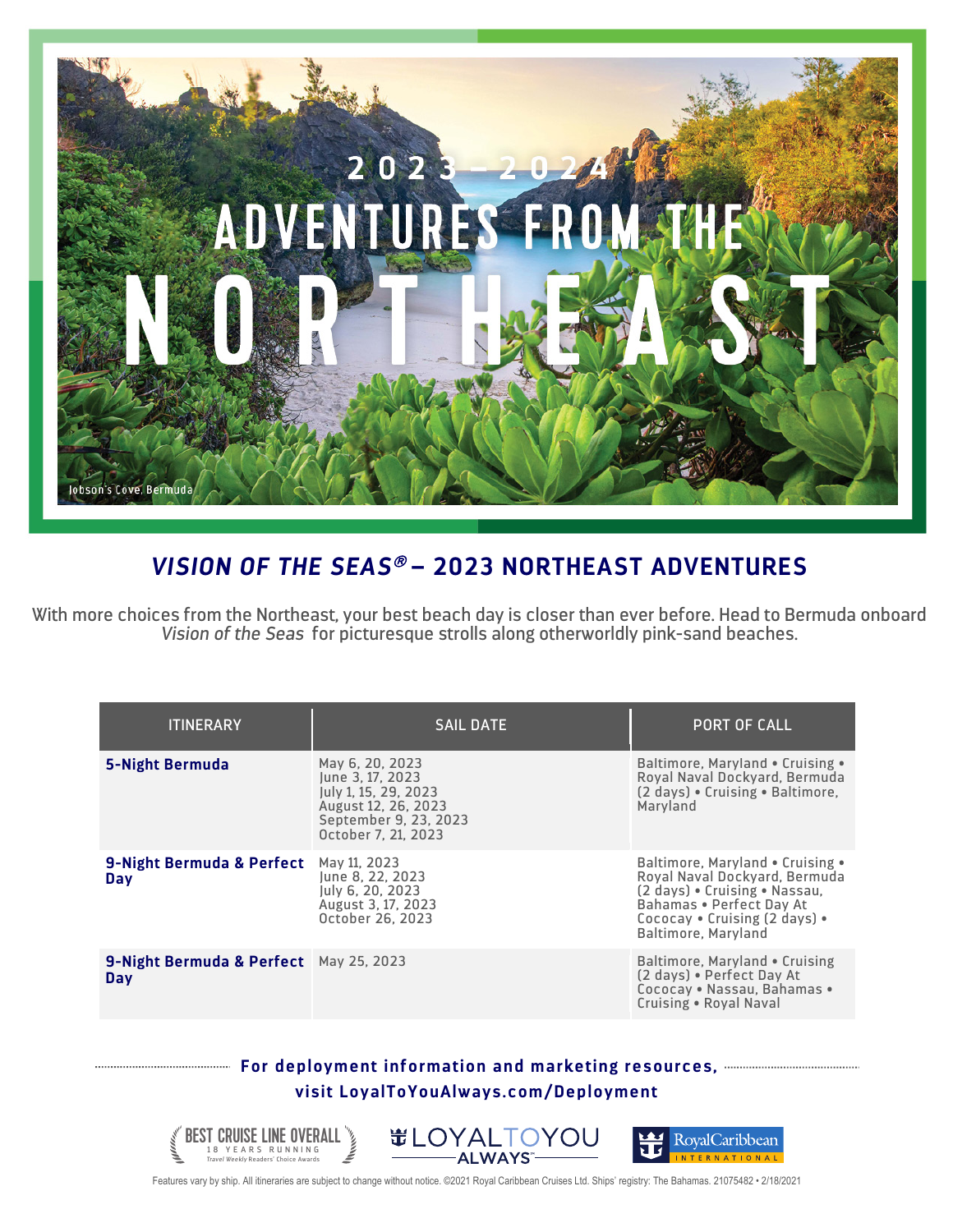

## *VISION OF THE SEAS*<sup>â</sup> **– 2023 NORTHEAST ADVENTURES**

With more choices from the Northeast, your best beach day is closer than ever before. Head to Bermuda onboard *Vision of the Seas* for picturesque strolls along otherworldly pink-sand beaches.

| <b>ITINERARY</b>                                     | <b>SAIL DATE</b>                                                                                                                   | <b>PORT OF CALL</b>                                                                                                                                                                    |
|------------------------------------------------------|------------------------------------------------------------------------------------------------------------------------------------|----------------------------------------------------------------------------------------------------------------------------------------------------------------------------------------|
| <b>5-Night Bermuda</b>                               | May 6, 20, 2023<br>June 3, 17, 2023<br>July 1, 15, 29, 2023<br>August 12, 26, 2023<br>September 9, 23, 2023<br>October 7, 21, 2023 | Baltimore, Maryland • Cruising •<br>Royal Naval Dockyard, Bermuda<br>(2 days) • Cruising • Baltimore.<br>Maryland                                                                      |
| 9-Night Bermuda & Perfect<br>Day                     | May 11, 2023<br>June 8, 22, 2023<br>luly 6, 20, 2023<br>August 3, 17, 2023<br>October 26, 2023                                     | Baltimore, Maryland • Cruising •<br>Royal Naval Dockyard, Bermuda<br>(2 days) . Cruising . Nassau,<br>Bahamas . Perfect Day At<br>Cococav • Cruising (2 days) •<br>Baltimore, Maryland |
| 9-Night Bermuda & Perfect May 25, 2023<br><b>Day</b> |                                                                                                                                    | Baltimore, Maryland • Cruising<br>(2 days) • Perfect Day At<br>Cococay . Nassau, Bahamas .<br>Cruising . Royal Naval                                                                   |

## **For deployment information and marketing resources, visit LoyalToYouAlways.com/Deployment**



Features vary by ship. All itineraries are subject to change without notice. ©2021 Royal Caribbean Cruises Ltd. Ships' registry: The Bahamas. 21075482 • 2/18/2021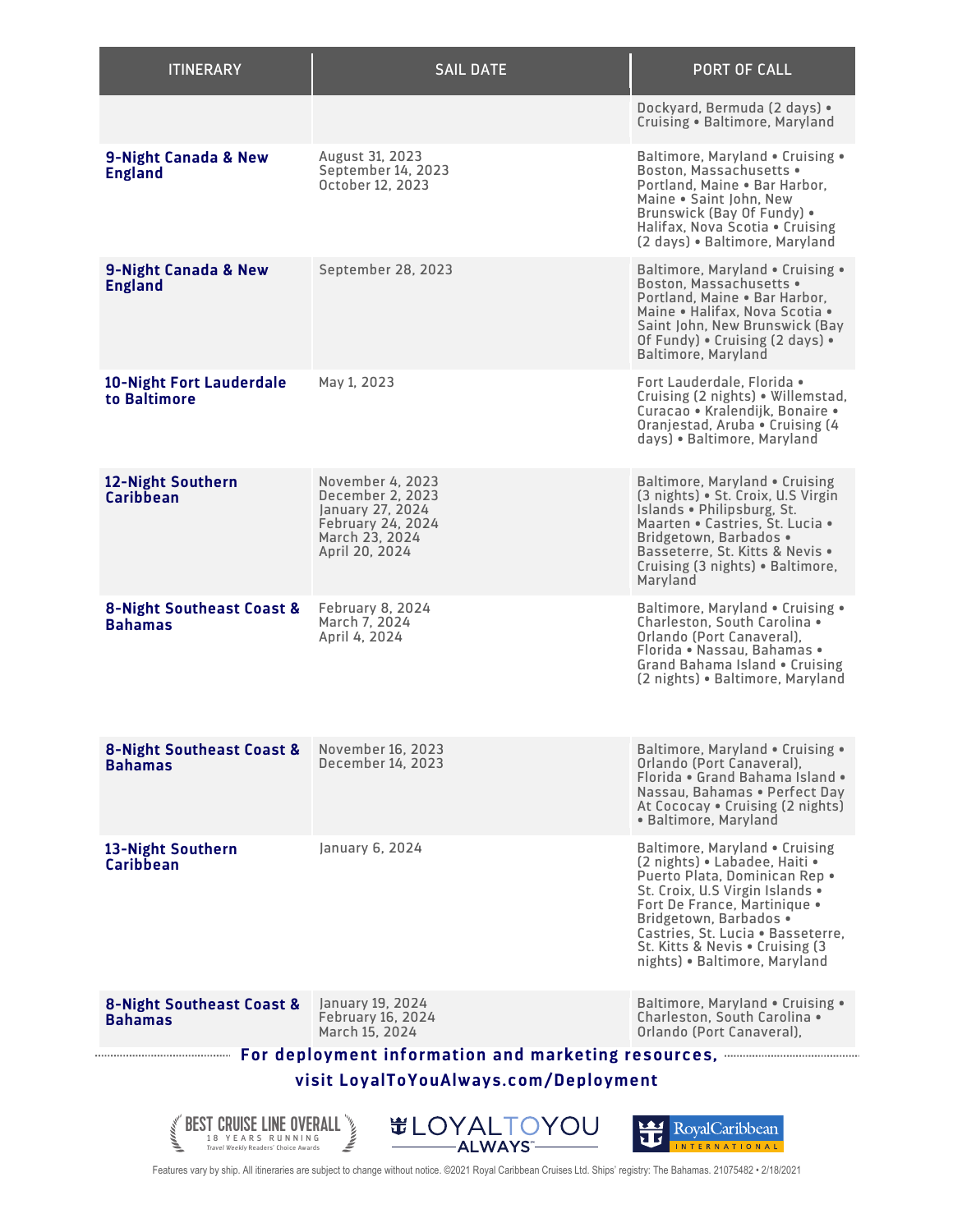| <b>ITINERARY</b>                                                                                                                                               | <b>SAIL DATE</b>                                                                                                         | <b>PORT OF CALL</b>                                                                                                                                                                                                                                                                                     |  |  |
|----------------------------------------------------------------------------------------------------------------------------------------------------------------|--------------------------------------------------------------------------------------------------------------------------|---------------------------------------------------------------------------------------------------------------------------------------------------------------------------------------------------------------------------------------------------------------------------------------------------------|--|--|
|                                                                                                                                                                |                                                                                                                          | Dockyard, Bermuda (2 days) •<br>Cruising . Baltimore, Maryland                                                                                                                                                                                                                                          |  |  |
| 9-Night Canada & New<br><b>England</b>                                                                                                                         | <b>August 31, 2023</b><br>September 14, 2023<br>October 12, 2023                                                         | Baltimore, Maryland . Cruising .<br>Boston, Massachusetts .<br>Portland, Maine . Bar Harbor,<br>Maine . Saint John, New<br>Brunswick (Bay Of Fundy) •<br>Halifax, Nova Scotia . Cruising<br>(2 days) · Baltimore, Maryland                                                                              |  |  |
| 9-Night Canada & New<br><b>England</b>                                                                                                                         | September 28, 2023                                                                                                       | Baltimore, Maryland . Cruising .<br>Boston, Massachusetts .<br>Portland, Maine . Bar Harbor,<br>Maine . Halifax, Nova Scotia .<br>Saint John, New Brunswick (Bay<br>Of Fundy) . Cruising (2 days) .<br>Baltimore, Maryland                                                                              |  |  |
| <b>10-Night Fort Lauderdale</b><br>to Baltimore                                                                                                                | May 1, 2023                                                                                                              | Fort Lauderdale. Florida •<br>Cruising (2 nights) • Willemstad,<br>Curacao • Kralendijk, Bonaire •<br>Oranjestad, Aruba • Cruising (4)<br>days) • Baltimore, Maryland                                                                                                                                   |  |  |
| 12-Night Southern<br><b>Caribbean</b>                                                                                                                          | November 4, 2023<br>December 2, 2023<br>January 27, 2024<br><b>February 24, 2024</b><br>March 23, 2024<br>April 20, 2024 | Baltimore, Maryland . Cruising<br>(3 nights) • St. Croix, U.S Virgin<br>Islands . Philipsburg, St.<br>Maarten . Castries, St. Lucia .<br>Bridgetown, Barbados •<br>Basseterre, St. Kitts & Nevis .<br>Cruising (3 nights) • Baltimore,<br>Maryland                                                      |  |  |
| 8-Night Southeast Coast &<br><b>Bahamas</b>                                                                                                                    | <b>February 8, 2024</b><br>March 7. 2024<br>April 4, 2024                                                                | Baltimore, Maryland . Cruising .<br>Charleston, South Carolina .<br>Orlando (Port Canaveral).<br>Florida . Nassau, Bahamas .<br>Grand Bahama Island . Cruising<br>(2 nights) · Baltimore, Maryland                                                                                                      |  |  |
| 8-Night Southeast Coast &<br>Bahamas                                                                                                                           | November 16, 2023<br>December 14, 2023                                                                                   | Baltimore, Maryland . Cruising .<br>Orlando (Port Canaveral),<br>Florida . Grand Bahama Island .<br>Nassau, Bahamas . Perfect Day<br>At Cococay . Cruising (2 nights)<br>• Baltimore, Maryland                                                                                                          |  |  |
| 13-Night Southern<br>Caribbean                                                                                                                                 | January 6, 2024                                                                                                          | Baltimore, Maryland . Cruising<br>(2 nights) • Labadee, Haiti •<br>Puerto Plata, Dominican Rep .<br>St. Croix, U.S Virgin Islands .<br>Fort De France, Martinique •<br>Bridgetown, Barbados .<br>Castries, St. Lucia . Basseterre,<br>St. Kitts & Nevis . Cruising (3)<br>nights) • Baltimore, Maryland |  |  |
| <b>8-Night Southeast Coast &amp;</b><br><b>Bahamas</b>                                                                                                         | January 19, 2024<br>February 16, 2024<br>March 15, 2024                                                                  | Baltimore, Maryland . Cruising .<br>Charleston, South Carolina .<br>Orlando (Port Canaveral),                                                                                                                                                                                                           |  |  |
| <b>Example 2018</b> For deployment information and marketing resources, <b>Access 2018</b> For deployment information<br>visit LoyalToYouAlways.com/Deployment |                                                                                                                          |                                                                                                                                                                                                                                                                                                         |  |  |
| <b>#LOYALTOYOU</b><br>岦<br>RoyalCaribbean<br><b>ALWAYS</b><br><b>NTERNATIONAL</b><br>ravel Weekly Readers' Choice Awards                                       |                                                                                                                          |                                                                                                                                                                                                                                                                                                         |  |  |

Features vary by ship. All itineraries are subject to change without notice. ©2021 Royal Caribbean Cruises Ltd. Ships' registry: The Bahamas. 21075482 • 2/18/2021